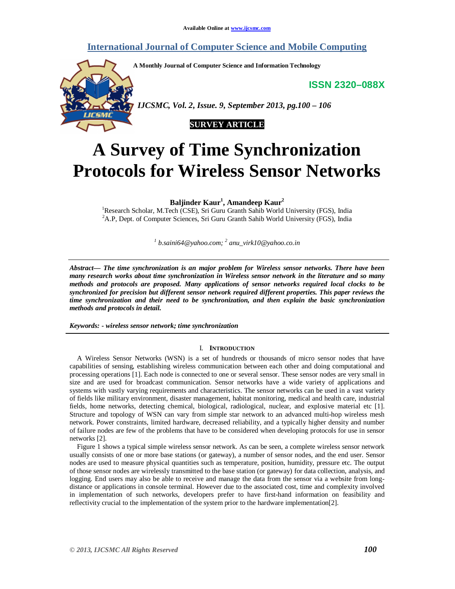# **International Journal of Computer Science and Mobile Computing**

**A Monthly Journal of Computer Science and Information Technology**

**ISSN 2320–088X**



 *IJCSMC, Vol. 2, Issue. 9, September 2013, pg.100 – 106*



# **A Survey of Time Synchronization Protocols for Wireless Sensor Networks**

**Baljinder Kaur<sup>1</sup> , Amandeep Kaur<sup>2</sup>**

<sup>1</sup>Research Scholar, M.Tech (CSE), Sri Guru Granth Sahib World University (FGS), India <sup>2</sup>A.P, Dept. of Computer Sciences, Sri Guru Granth Sahib World University (FGS), India

*1 b.saini64@yahoo.com; 2 anu\_virk10@yahoo.co.in*

*Abstract— The time synchronization is an major problem for Wireless sensor networks. There have been many research works about time synchronization in Wireless sensor network in the literature and so many methods and protocols are proposed. Many applications of sensor networks required local clocks to be synchronized for precision but different sensor network required different properties. This paper reviews the time synchronization and their need to be synchronization, and then explain the basic synchronization methods and protocols in detail.*

*Keywords: - wireless sensor network; time synchronization*

# I. **INTRODUCTION**

A Wireless Sensor Networks (WSN) is a set of hundreds or thousands of micro sensor nodes that have capabilities of sensing, establishing wireless communication between each other and doing computational and processing operations [1]. Each node is connected to one or several sensor. These sensor nodes are very small in size and are used for broadcast communication. Sensor networks have a wide variety of applications and systems with vastly varying requirements and characteristics. The sensor networks can be used in a vast variety of fields like military environment, disaster management, habitat monitoring, medical and health care, industrial fields, home networks, detecting chemical, biological, radiological, nuclear, and explosive material etc [1]. Structure and topology of WSN can vary from simple star network to an advanced multi-hop wireless mesh network. Power constraints, limited hardware, decreased reliability, and a typically higher density and number of failure nodes are few of the problems that have to be considered when developing protocols for use in sensor networks [2].

Figure 1 shows a typical simple wireless sensor network. As can be seen, a complete wireless sensor network usually consists of one or more base stations (or gateway), a number of sensor nodes, and the end user. Sensor nodes are used to measure physical quantities such as temperature, position, humidity, pressure etc. The output of those sensor nodes are wirelessly transmitted to the base station (or gateway) for data collection, analysis, and logging. End users may also be able to receive and manage the data from the sensor via a website from longdistance or applications in console terminal. However due to the associated cost, time and complexity involved in implementation of such networks, developers prefer to have first-hand information on feasibility and reflectivity crucial to the implementation of the system prior to the hardware implementation[2].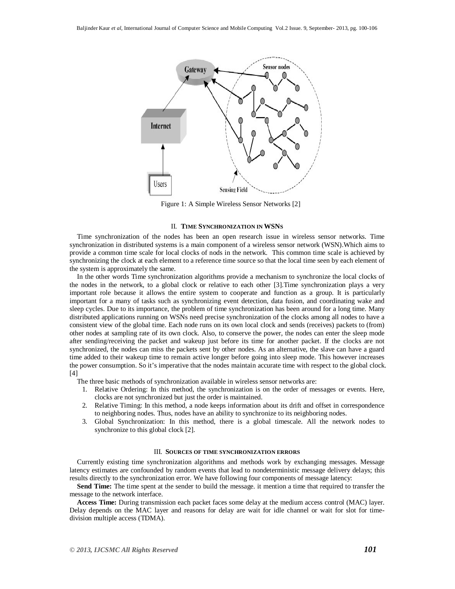

Figure 1: A Simple Wireless Sensor Networks [2]

#### II. **TIME SYNCHRONIZATION IN WSNS**

Time synchronization of the nodes has been an open research issue in wireless sensor networks. Time synchronization in distributed systems is a main component of a wireless sensor network (WSN).Which aims to provide a common time scale for local clocks of nods in the network. This common time scale is achieved by synchronizing the clock at each element to a reference time source so that the local time seen by each element of the system is approximately the same.

In the other words Time synchronization algorithms provide a mechanism to synchronize the local clocks of the nodes in the network, to a global clock or relative to each other [3].Time synchronization plays a very important role because it allows the entire system to cooperate and function as a group. It is particularly important for a many of tasks such as synchronizing event detection, data fusion, and coordinating wake and sleep cycles. Due to its importance, the problem of time synchronization has been around for a long time. Many distributed applications running on WSNs need precise synchronization of the clocks among all nodes to have a consistent view of the global time. Each node runs on its own local clock and sends (receives) packets to (from) other nodes at sampling rate of its own clock. Also, to conserve the power, the nodes can enter the sleep mode after sending/receiving the packet and wakeup just before its time for another packet. If the clocks are not synchronized, the nodes can miss the packets sent by other nodes. As an alternative, the slave can have a guard time added to their wakeup time to remain active longer before going into sleep mode. This however increases the power consumption. So it's imperative that the nodes maintain accurate time with respect to the global clock. [4]

The three basic methods of synchronization available in wireless sensor networks are:

- 1. Relative Ordering: In this method, the synchronization is on the order of messages or events. Here, clocks are not synchronized but just the order is maintained.
- 2. Relative Timing: In this method, a node keeps information about its drift and offset in correspondence to neighboring nodes. Thus, nodes have an ability to synchronize to its neighboring nodes.
- 3. Global Synchronization: In this method, there is a global timescale. All the network nodes to synchronize to this global clock [2].

# III. **SOURCES OF TIME SYNCHRONIZATION ERRORS**

Currently existing time synchronization algorithms and methods work by exchanging messages. Message latency estimates are confounded by random events that lead to nondeterministic message delivery delays; this results directly to the synchronization error. We have following four components of message latency:

**Send Time:** The time spent at the sender to build the message. it mention a time that required to transfer the message to the network interface.

**Access Time:** During transmission each packet faces some delay at the medium access control (MAC) layer. Delay depends on the MAC layer and reasons for delay are wait for idle channel or wait for slot for timedivision multiple access (TDMA).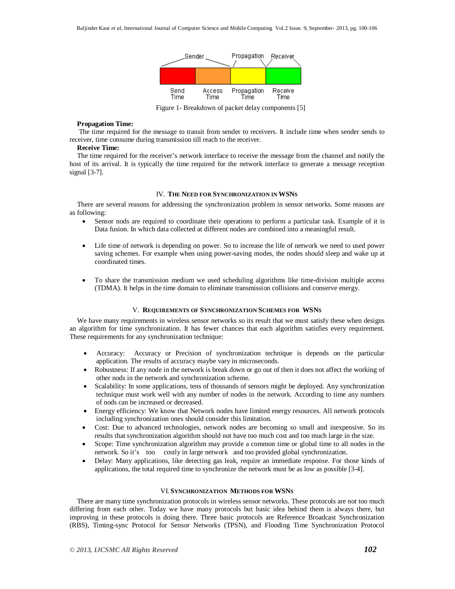

Figure 1- Breakdown of packet delay components [5]

# **Propagation Time:**

The time required for the message to transit from sender to receivers. It include time when sender sends to receiver, time consume during transmission till reach to the receiver.

# **Receive Time:**

The time required for the receiver's network interface to receive the message from the channel and notify the host of its arrival. It is typically the time required for the network interface to generate a message reception signal [3-7].

# IV. **THE NEED FOR SYNCHRONIZATION IN WSNS**

There are several reasons for addressing the synchronization problem in sensor networks. Some reasons are as following:

- Sensor nods are required to coordinate their operations to perform a particular task. Example of it is Data fusion. In which data collected at different nodes are combined into a meaningful result.
- Life time of network is depending on power. So to increase the life of network we need to used power saving schemes. For example when using power-saving modes, the nodes should sleep and wake up at coordinated times.
- To share the transmission medium we used scheduling algorithms like time-division multiple access (TDMA). It helps in the time domain to eliminate transmission collisions and conserve energy.

#### V. **REQUIREMENTS OF SYNCHRONIZATION SCHEMES FOR WSNS**

We have many requirements in wireless sensor networks so its result that we must satisfy these when designs an algorithm for time synchronization. It has fewer chances that each algorithm satisfies every requirement. These requirements for any synchronization technique:

- Accuracy: Accuracy or Precision of synchronization technique is depends on the particular application. The results of accuracy maybe vary in microseconds.
- Robustness: If any node in the network is break down or go out of then it does not affect the working of other nods in the network and synchronization scheme.
- Scalability: In some applications, tens of thousands of sensors might be deployed. Any synchronization technique must work well with any number of nodes in the network. According to time any numbers of nods can be increased or decreased.
- Energy efficiency: We know that Network nodes have limited energy resources. All network protocols including synchronization ones should consider this limitation.
- Cost: Due to advanced technologies, network nodes are becoming so small and inexpensive. So its results that synchronization algorithm should not have too much cost and too much large in the size.
- Scope: Time synchronization algorithm may provide a common time or global time to all nodes in the network. So it's too costly in large network and too provided global synchronization.
- Delay: Many applications, like detecting gas leak, require an immediate response. For those kinds of applications, the total required time to synchronize the network must be as low as possible [3-4].

#### VI. **SYNCHRONIZATION METHODS FOR WSNS**

There are many time synchronization protocols in wireless sensor networks. These protocols are not too much differing from each other. Today we have many protocols but basic idea behind them is always there, but improving in these protocols is doing there. Three basic protocols are Reference Broadcast Synchronization (RBS), Timing-sync Protocol for Sensor Networks (TPSN), and Flooding Time Synchronization Protocol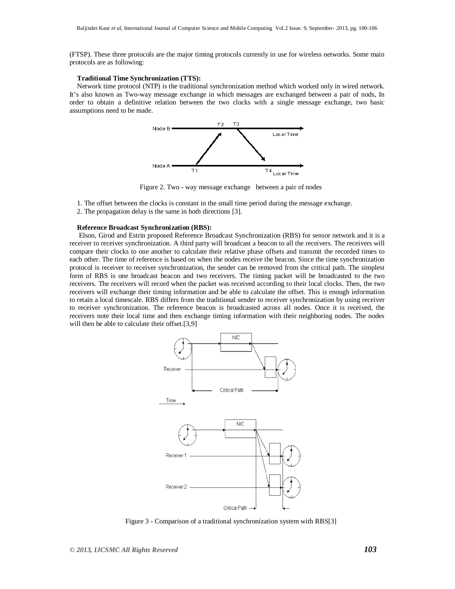(FTSP). These three protocols are the major timing protocols currently in use for wireless networks. Some main protocols are as following:

# **Traditional Time Synchronization (TTS):**

Network time protocol (NTP) is the traditional synchronization method which worked only in wired network. It's also known as Two-way message exchange in which messages are exchanged between a pair of nods, In order to obtain a definitive relation between the two clocks with a single message exchange, two basic assumptions need to be made.



Figure 2. Two - way message exchange between a pair of nodes

- 1. The offset between the clocks is constant in the small time period during the message exchange.
- 2. The propagation delay is the same in both directions [3].

#### **Reference Broadcast Synchronization (RBS):**

Elson, Girod and Estrin proposed Reference Broadcast Synchronization (RBS) for sensor network and it is a receiver to receiver synchronization. A third party will broadcast a beacon to all the receivers. The receivers will compare their clocks to one another to calculate their relative phase offsets and transmit the recorded times to each other. The time of reference is based on when the nodes receive the beacon. Since the time synchronization protocol is receiver to receiver synchronization, the sender can be removed from the critical path. The simplest form of RBS is one broadcast beacon and two receivers. The timing packet will be broadcasted to the two receivers. The receivers will record when the packet was received according to their local clocks. Then, the two receivers will exchange their timing information and be able to calculate the offset. This is enough information to retain a local timescale. RBS differs from the traditional sender to receiver synchronization by using receiver to receiver synchronization. The reference beacon is broadcasted across all nodes. Once it is received, the receivers note their local time and then exchange timing information with their neighboring nodes. The nodes will then be able to calculate their offset.[3,9]



Figure 3 - Comparison of a traditional synchronization system with RBS[3]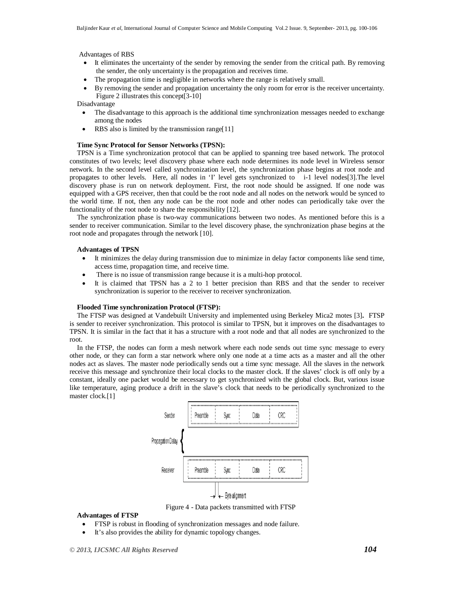Advantages of RBS

- It eliminates the uncertainty of the sender by removing the sender from the critical path. By removing the sender, the only uncertainty is the propagation and receives time.
- The propagation time is negligible in networks where the range is relatively small.
- By removing the sender and propagation uncertainty the only room for error is the receiver uncertainty. Figure 2 illustrates this concept[3-10]

Disadvantage

- The disadvantage to this approach is the additional time synchronization messages needed to exchange among the nodes
- RBS also is limited by the transmission range[11]

#### **Time Sync Protocol for Sensor Networks (TPSN):**

TPSN is a Time synchronization protocol that can be applied to spanning tree based network. The protocol constitutes of two levels; level discovery phase where each node determines its node level in Wireless sensor network. In the second level called synchronization level, the synchronization phase begins at root node and propagates to other levels. Here, all nodes in 'I' level gets synchronized to i-1 level nodes[3].The level discovery phase is run on network deployment. First, the root node should be assigned. If one node was equipped with a GPS receiver, then that could be the root node and all nodes on the network would be synced to the world time. If not, then any node can be the root node and other nodes can periodically take over the functionality of the root node to share the responsibility [12].

The synchronization phase is two-way communications between two nodes. As mentioned before this is a sender to receiver communication. Similar to the level discovery phase, the synchronization phase begins at the root node and propagates through the network [10].

# **Advantages of TPSN**

- It minimizes the delay during transmission due to minimize in delay factor components like send time, access time, propagation time, and receive time.
- There is no issue of transmission range because it is a multi-hop protocol.
- It is claimed that TPSN has a 2 to 1 better precision than RBS and that the sender to receiver synchronization is superior to the receiver to receiver synchronization.

#### **Flooded Time synchronization Protocol (FTSP):**

The FTSP was designed at Vandebuilt University and implemented using Berkeley Mica2 motes [3]**.** FTSP is sender to receiver synchronization. This protocol is similar to TPSN, but it improves on the disadvantages to TPSN. It is similar in the fact that it has a structure with a root node and that all nodes are synchronized to the root.

In the FTSP, the nodes can form a mesh network where each node sends out time sync message to every other node, or they can form a star network where only one node at a time acts as a master and all the other nodes act as slaves. The master node periodically sends out a time sync message. All the slaves in the network receive this message and synchronize their local clocks to the master clock. If the slaves' clock is off only by a constant, ideally one packet would be necessary to get synchronized with the global clock. But, various issue like temperature, aging produce a drift in the slave's clock that needs to be periodically synchronized to the master clock.[1]



Figure 4 - Data packets transmitted with FTSP

# **Advantages of FTSP**

- FTSP is robust in flooding of synchronization messages and node failure.
- It's also provides the ability for dynamic topology changes.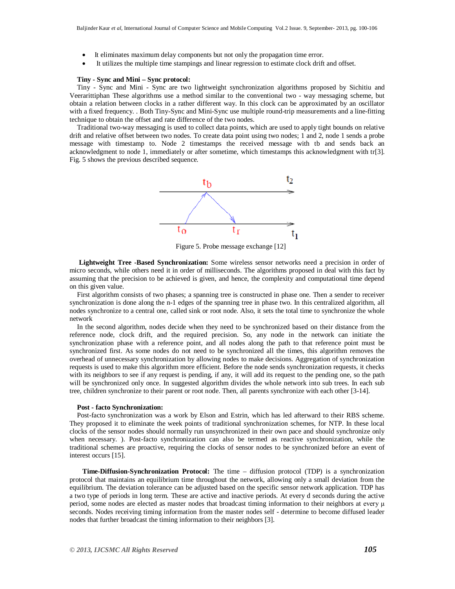- It eliminates maximum delay components but not only the propagation time error.
- It utilizes the multiple time stampings and linear regression to estimate clock drift and offset.

# **Tiny - Sync and Mini – Sync protocol:**

Tiny - Sync and Mini - Sync are two lightweight synchronization algorithms proposed by Sichitiu and Veerarittiphan These algorithms use a method similar to the conventional two - way messaging scheme, but obtain a relation between clocks in a rather different way. In this clock can be approximated by an oscillator with a fixed frequency. . Both Tiny-Sync and Mini-Sync use multiple round-trip measurements and a line-fitting technique to obtain the offset and rate difference of the two nodes.

Traditional two-way messaging is used to collect data points, which are used to apply tight bounds on relative drift and relative offset between two nodes. To create data point using two nodes; 1 and 2, node 1 sends a probe message with timestamp to. Node 2 timestamps the received message with tb and sends back an acknowledgment to node 1, immediately or after sometime, which timestamps this acknowledgment with tr[3]. Fig. 5 shows the previous described sequence.



Figure 5. Probe message exchange [12]

**Lightweight Tree -Based Synchronization:** Some wireless sensor networks need a precision in order of micro seconds, while others need it in order of milliseconds. The algorithms proposed in deal with this fact by assuming that the precision to be achieved is given, and hence, the complexity and computational time depend on this given value.

First algorithm consists of two phases; a spanning tree is constructed in phase one. Then a sender to receiver synchronization is done along the n-1 edges of the spanning tree in phase two. In this centralized algorithm, all nodes synchronize to a central one, called sink or root node. Also, it sets the total time to synchronize the whole network

In the second algorithm, nodes decide when they need to be synchronized based on their distance from the reference node, clock drift, and the required precision. So, any node in the network can initiate the synchronization phase with a reference point, and all nodes along the path to that reference point must be synchronized first. As some nodes do not need to be synchronized all the times, this algorithm removes the overhead of unnecessary synchronization by allowing nodes to make decisions. Aggregation of synchronization requests is used to make this algorithm more efficient. Before the node sends synchronization requests, it checks with its neighbors to see if any request is pending, if any, it will add its request to the pending one, so the path will be synchronized only once. In suggested algorithm divides the whole network into sub trees. In each sub tree, children synchronize to their parent or root node. Then, all parents synchronize with each other [3-14].

#### **Post - facto Synchronization:**

Post-facto synchronization was a work by Elson and Estrin, which has led afterward to their RBS scheme. They proposed it to eliminate the week points of traditional synchronization schemes, for NTP. In these local clocks of the sensor nodes should normally run unsynchronized in their own pace and should synchronize only when necessary. ). Post-facto synchronization can also be termed as reactive synchronization, while the traditional schemes are proactive, requiring the clocks of sensor nodes to be synchronized before an event of interest occurs [15].

 **Time-Diffusion-Synchronization Protocol:** The time – diffusion protocol (TDP) is a synchronization protocol that maintains an equilibrium time throughout the network, allowing only a small deviation from the equilibrium. The deviation tolerance can be adjusted based on the specific sensor network application. TDP has a two type of periods in long term. These are active and inactive periods. At every d seconds during the active period, some nodes are elected as master nodes that broadcast timing information to their neighbors at every μ seconds. Nodes receiving timing information from the master nodes self - determine to become diffused leader nodes that further broadcast the timing information to their neighbors [3].